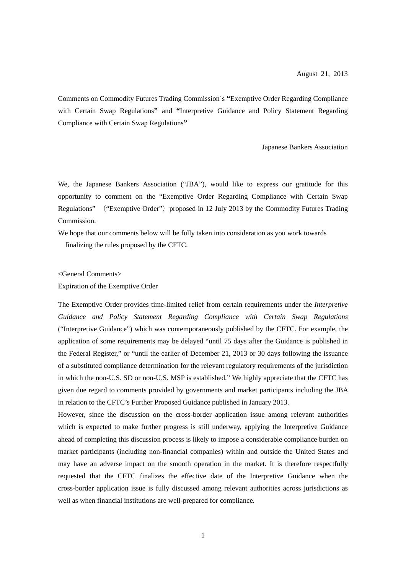Comments on Commodity Futures Trading Commission`s **"**Exemptive Order Regarding Compliance with Certain Swap Regulations**"** and **"**Interpretive Guidance and Policy Statement Regarding Compliance with Certain Swap Regulations**"**

Japanese Bankers Association

We, the Japanese Bankers Association ("JBA"), would like to express our gratitude for this opportunity to comment on the "Exemptive Order Regarding Compliance with Certain Swap Regulations" ("Exemptive Order") proposed in 12 July 2013 by the Commodity Futures Trading Commission.

We hope that our comments below will be fully taken into consideration as you work towards finalizing the rules proposed by the CFTC.

<General Comments>

Expiration of the Exemptive Order

The Exemptive Order provides time-limited relief from certain requirements under the *Interpretive Guidance and Policy Statement Regarding Compliance with Certain Swap Regulations*  ("Interpretive Guidance") which was contemporaneously published by the CFTC. For example, the application of some requirements may be delayed "until 75 days after the Guidance is published in the Federal Register," or "until the earlier of December 21, 2013 or 30 days following the issuance of a substituted compliance determination for the relevant regulatory requirements of the jurisdiction in which the non-U.S. SD or non-U.S. MSP is established." We highly appreciate that the CFTC has given due regard to comments provided by governments and market participants including the JBA in relation to the CFTC's Further Proposed Guidance published in January 2013.

However, since the discussion on the cross-border application issue among relevant authorities which is expected to make further progress is still underway, applying the Interpretive Guidance ahead of completing this discussion process is likely to impose a considerable compliance burden on market participants (including non-financial companies) within and outside the United States and may have an adverse impact on the smooth operation in the market. It is therefore respectfully requested that the CFTC finalizes the effective date of the Interpretive Guidance when the cross-border application issue is fully discussed among relevant authorities across jurisdictions as well as when financial institutions are well-prepared for compliance.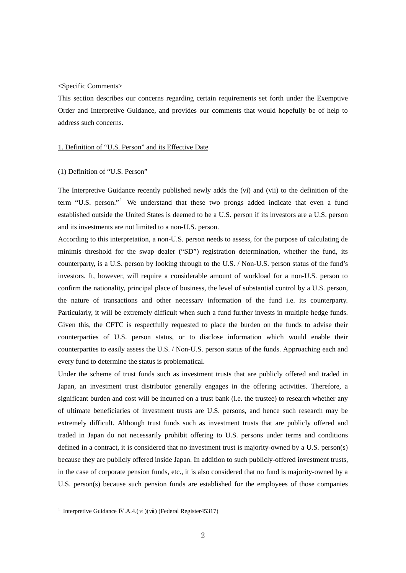### <Specific Comments>

This section describes our concerns regarding certain requirements set forth under the Exemptive Order and Interpretive Guidance, and provides our comments that would hopefully be of help to address such concerns.

## 1. Definition of "U.S. Person" and its Effective Date

#### (1) Definition of "U.S. Person"

The Interpretive Guidance recently published newly adds the (vi) and (vii) to the definition of the term "U.S. person."<sup>[1](#page-1-0)</sup> We understand that these two prongs added indicate that even a fund established outside the United States is deemed to be a U.S. person if its investors are a U.S. person and its investments are not limited to a non-U.S. person.

According to this interpretation, a non-U.S. person needs to assess, for the purpose of calculating de minimis threshold for the swap dealer ("SD") registration determination, whether the fund, its counterparty, is a U.S. person by looking through to the U.S. / Non-U.S. person status of the fund's investors. It, however, will require a considerable amount of workload for a non-U.S. person to confirm the nationality, principal place of business, the level of substantial control by a U.S. person, the nature of transactions and other necessary information of the fund i.e. its counterparty. Particularly, it will be extremely difficult when such a fund further invests in multiple hedge funds. Given this, the CFTC is respectfully requested to place the burden on the funds to advise their counterparties of U.S. person status, or to disclose information which would enable their counterparties to easily assess the U.S. / Non-U.S. person status of the funds. Approaching each and every fund to determine the status is problematical.

Under the scheme of trust funds such as investment trusts that are publicly offered and traded in Japan, an investment trust distributor generally engages in the offering activities. Therefore, a significant burden and cost will be incurred on a trust bank (i.e. the trustee) to research whether any of ultimate beneficiaries of investment trusts are U.S. persons, and hence such research may be extremely difficult. Although trust funds such as investment trusts that are publicly offered and traded in Japan do not necessarily prohibit offering to U.S. persons under terms and conditions defined in a contract, it is considered that no investment trust is majority-owned by a U.S. person(s) because they are publicly offered inside Japan. In addition to such publicly-offered investment trusts, in the case of corporate pension funds, etc., it is also considered that no fund is majority-owned by a U.S. person(s) because such pension funds are established for the employees of those companies

-

<span id="page-1-0"></span><sup>&</sup>lt;sup>1</sup> Interpretive Guidance IV.A.4.(**vi**)(vii) (Federal Register45317)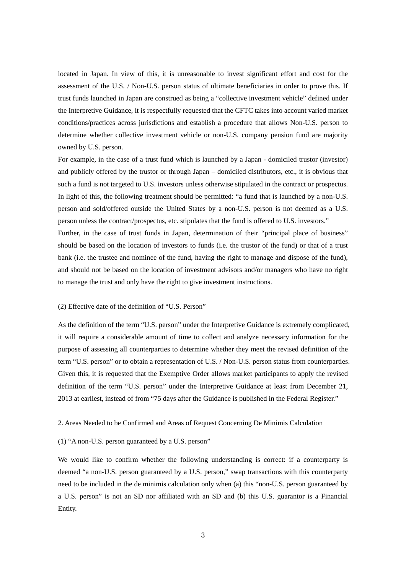located in Japan. In view of this, it is unreasonable to invest significant effort and cost for the assessment of the U.S. / Non-U.S. person status of ultimate beneficiaries in order to prove this. If trust funds launched in Japan are construed as being a "collective investment vehicle" defined under the Interpretive Guidance, it is respectfully requested that the CFTC takes into account varied market conditions/practices across jurisdictions and establish a procedure that allows Non-U.S. person to determine whether collective investment vehicle or non-U.S. company pension fund are majority owned by U.S. person.

For example, in the case of a trust fund which is launched by a Japan - domiciled trustor (investor) and publicly offered by the trustor or through Japan – domiciled distributors, etc., it is obvious that such a fund is not targeted to U.S. investors unless otherwise stipulated in the contract or prospectus. In light of this, the following treatment should be permitted: "a fund that is launched by a non-U.S. person and sold/offered outside the United States by a non-U.S. person is not deemed as a U.S. person unless the contract/prospectus, etc. stipulates that the fund is offered to U.S. investors." Further, in the case of trust funds in Japan, determination of their "principal place of business" should be based on the location of investors to funds (i.e. the trustor of the fund) or that of a trust bank (i.e. the trustee and nominee of the fund, having the right to manage and dispose of the fund), and should not be based on the location of investment advisors and/or managers who have no right to manage the trust and only have the right to give investment instructions.

## (2) Effective date of the definition of "U.S. Person"

As the definition of the term "U.S. person" under the Interpretive Guidance is extremely complicated, it will require a considerable amount of time to collect and analyze necessary information for the purpose of assessing all counterparties to determine whether they meet the revised definition of the term "U.S. person" or to obtain a representation of U.S. / Non-U.S. person status from counterparties. Given this, it is requested that the Exemptive Order allows market participants to apply the revised definition of the term "U.S. person" under the Interpretive Guidance at least from December 21, 2013 at earliest, instead of from "75 days after the Guidance is published in the Federal Register."

# 2. Areas Needed to be Confirmed and Areas of Request Concerning De Minimis Calculation

#### (1) "A non-U.S. person guaranteed by a U.S. person"

We would like to confirm whether the following understanding is correct: if a counterparty is deemed "a non-U.S. person guaranteed by a U.S. person," swap transactions with this counterparty need to be included in the de minimis calculation only when (a) this "non-U.S. person guaranteed by a U.S. person" is not an SD nor affiliated with an SD and (b) this U.S. guarantor is a Financial Entity.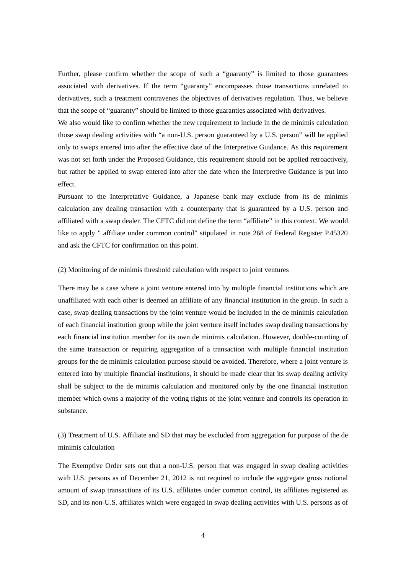Further, please confirm whether the scope of such a "guaranty" is limited to those guarantees associated with derivatives. If the term "guaranty" encompasses those transactions unrelated to derivatives, such a treatment contravenes the objectives of derivatives regulation. Thus, we believe that the scope of "guaranty" should be limited to those guaranties associated with derivatives.

We also would like to confirm whether the new requirement to include in the de minimis calculation those swap dealing activities with "a non-U.S. person guaranteed by a U.S. person" will be applied only to swaps entered into after the effective date of the Interpretive Guidance. As this requirement was not set forth under the Proposed Guidance, this requirement should not be applied retroactively, but rather be applied to swap entered into after the date when the Interpretive Guidance is put into effect.

Pursuant to the Interpretative Guidance, a Japanese bank may exclude from its de minimis calculation any dealing transaction with a counterparty that is guaranteed by a U.S. person and affiliated with a swap dealer. The CFTC did not define the term "affiliate" in this context. We would like to apply " affiliate under common control" stipulated in note 268 of Federal Register P.45320 and ask the CFTC for confirmation on this point.

# (2) Monitoring of de minimis threshold calculation with respect to joint ventures

There may be a case where a joint venture entered into by multiple financial institutions which are unaffiliated with each other is deemed an affiliate of any financial institution in the group. In such a case, swap dealing transactions by the joint venture would be included in the de minimis calculation of each financial institution group while the joint venture itself includes swap dealing transactions by each financial institution member for its own de minimis calculation. However, double-counting of the same transaction or requiring aggregation of a transaction with multiple financial institution groups for the de minimis calculation purpose should be avoided. Therefore, where a joint venture is entered into by multiple financial institutions, it should be made clear that its swap dealing activity shall be subject to the de minimis calculation and monitored only by the one financial institution member which owns a majority of the voting rights of the joint venture and controls its operation in substance.

(3) Treatment of U.S. Affiliate and SD that may be excluded from aggregation for purpose of the de minimis calculation

The Exemptive Order sets out that a non-U.S. person that was engaged in swap dealing activities with U.S. persons as of December 21, 2012 is not required to include the aggregate gross notional amount of swap transactions of its U.S. affiliates under common control, its affiliates registered as SD, and its non-U.S. affiliates which were engaged in swap dealing activities with U.S. persons as of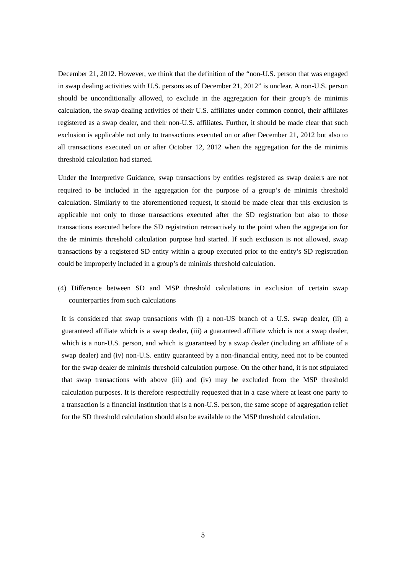December 21, 2012. However, we think that the definition of the "non-U.S. person that was engaged in swap dealing activities with U.S. persons as of December 21, 2012" is unclear. A non-U.S. person should be unconditionally allowed, to exclude in the aggregation for their group's de minimis calculation, the swap dealing activities of their U.S. affiliates under common control, their affiliates registered as a swap dealer, and their non-U.S. affiliates. Further, it should be made clear that such exclusion is applicable not only to transactions executed on or after December 21, 2012 but also to all transactions executed on or after October 12, 2012 when the aggregation for the de minimis threshold calculation had started.

Under the Interpretive Guidance, swap transactions by entities registered as swap dealers are not required to be included in the aggregation for the purpose of a group's de minimis threshold calculation. Similarly to the aforementioned request, it should be made clear that this exclusion is applicable not only to those transactions executed after the SD registration but also to those transactions executed before the SD registration retroactively to the point when the aggregation for the de minimis threshold calculation purpose had started. If such exclusion is not allowed, swap transactions by a registered SD entity within a group executed prior to the entity's SD registration could be improperly included in a group's de minimis threshold calculation.

(4) Difference between SD and MSP threshold calculations in exclusion of certain swap counterparties from such calculations

It is considered that swap transactions with (i) a non-US branch of a U.S. swap dealer, (ii) a guaranteed affiliate which is a swap dealer, (iii) a guaranteed affiliate which is not a swap dealer, which is a non-U.S. person, and which is guaranteed by a swap dealer (including an affiliate of a swap dealer) and (iv) non-U.S. entity guaranteed by a non-financial entity, need not to be counted for the swap dealer de minimis threshold calculation purpose. On the other hand, it is not stipulated that swap transactions with above (iii) and (iv) may be excluded from the MSP threshold calculation purposes. It is therefore respectfully requested that in a case where at least one party to a transaction is a financial institution that is a non-U.S. person, the same scope of aggregation relief for the SD threshold calculation should also be available to the MSP threshold calculation.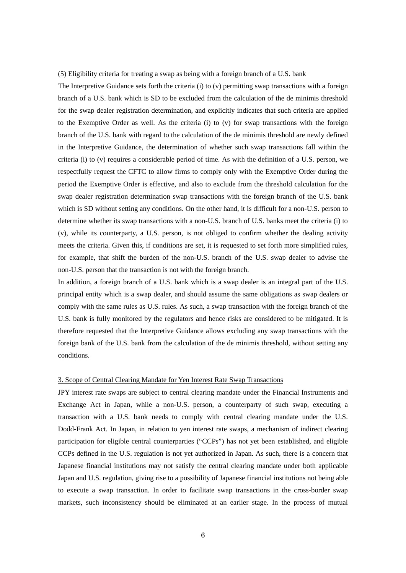## (5) Eligibility criteria for treating a swap as being with a foreign branch of a U.S. bank

The Interpretive Guidance sets forth the criteria (i) to (v) permitting swap transactions with a foreign branch of a U.S. bank which is SD to be excluded from the calculation of the de minimis threshold for the swap dealer registration determination, and explicitly indicates that such criteria are applied to the Exemptive Order as well. As the criteria (i) to (v) for swap transactions with the foreign branch of the U.S. bank with regard to the calculation of the de minimis threshold are newly defined in the Interpretive Guidance, the determination of whether such swap transactions fall within the criteria (i) to (v) requires a considerable period of time. As with the definition of a U.S. person, we respectfully request the CFTC to allow firms to comply only with the Exemptive Order during the period the Exemptive Order is effective, and also to exclude from the threshold calculation for the swap dealer registration determination swap transactions with the foreign branch of the U.S. bank which is SD without setting any conditions. On the other hand, it is difficult for a non-U.S. person to determine whether its swap transactions with a non-U.S. branch of U.S. banks meet the criteria (i) to (v), while its counterparty, a U.S. person, is not obliged to confirm whether the dealing activity meets the criteria. Given this, if conditions are set, it is requested to set forth more simplified rules, for example, that shift the burden of the non-U.S. branch of the U.S. swap dealer to advise the non-U.S. person that the transaction is not with the foreign branch.

In addition, a foreign branch of a U.S. bank which is a swap dealer is an integral part of the U.S. principal entity which is a swap dealer, and should assume the same obligations as swap dealers or comply with the same rules as U.S. rules. As such, a swap transaction with the foreign branch of the U.S. bank is fully monitored by the regulators and hence risks are considered to be mitigated. It is therefore requested that the Interpretive Guidance allows excluding any swap transactions with the foreign bank of the U.S. bank from the calculation of the de minimis threshold, without setting any conditions.

#### 3. Scope of Central Clearing Mandate for Yen Interest Rate Swap Transactions

JPY interest rate swaps are subject to central clearing mandate under the Financial Instruments and Exchange Act in Japan, while a non-U.S. person, a counterparty of such swap, executing a transaction with a U.S. bank needs to comply with central clearing mandate under the U.S. Dodd-Frank Act. In Japan, in relation to yen interest rate swaps, a mechanism of indirect clearing participation for eligible central counterparties ("CCPs") has not yet been established, and eligible CCPs defined in the U.S. regulation is not yet authorized in Japan. As such, there is a concern that Japanese financial institutions may not satisfy the central clearing mandate under both applicable Japan and U.S. regulation, giving rise to a possibility of Japanese financial institutions not being able to execute a swap transaction. In order to facilitate swap transactions in the cross-border swap markets, such inconsistency should be eliminated at an earlier stage. In the process of mutual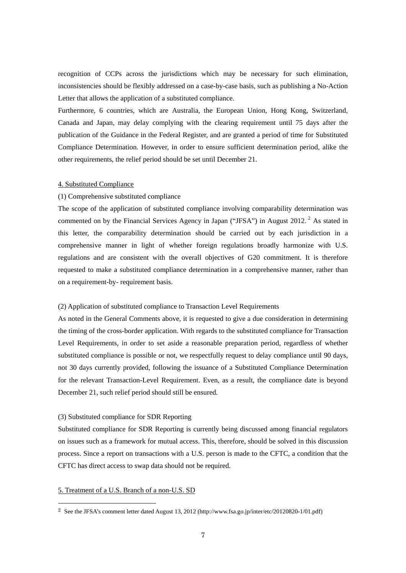recognition of CCPs across the jurisdictions which may be necessary for such elimination, inconsistencies should be flexibly addressed on a case-by-case basis, such as publishing a No-Action Letter that allows the application of a substituted compliance.

Furthermore, 6 countries, which are Australia, the European Union, Hong Kong, Switzerland, Canada and Japan, may delay complying with the clearing requirement until 75 days after the publication of the Guidance in the Federal Register, and are granted a period of time for Substituted Compliance Determination. However, in order to ensure sufficient determination period, alike the other requirements, the relief period should be set until December 21.

# 4. Substituted Compliance

#### (1) Comprehensive substituted compliance

The scope of the application of substituted compliance involving comparability determination was commented on by the Financial Services Agency in Japan ("JFSA") in August [2](#page-6-0)012.<sup>2</sup> As stated in this letter, the comparability determination should be carried out by each jurisdiction in a comprehensive manner in light of whether foreign regulations broadly harmonize with U.S. regulations and are consistent with the overall objectives of G20 commitment. It is therefore requested to make a substituted compliance determination in a comprehensive manner, rather than on a requirement-by- requirement basis.

# (2) Application of substituted compliance to Transaction Level Requirements

As noted in the General Comments above, it is requested to give a due consideration in determining the timing of the cross-border application. With regards to the substituted compliance for Transaction Level Requirements, in order to set aside a reasonable preparation period, regardless of whether substituted compliance is possible or not, we respectfully request to delay compliance until 90 days, not 30 days currently provided, following the issuance of a Substituted Compliance Determination for the relevant Transaction-Level Requirement. Even, as a result, the compliance date is beyond December 21, such relief period should still be ensured.

# (3) Substituted compliance for SDR Reporting

Substituted compliance for SDR Reporting is currently being discussed among financial regulators on issues such as a framework for mutual access. This, therefore, should be solved in this discussion process. Since a report on transactions with a U.S. person is made to the CFTC, a condition that the CFTC has direct access to swap data should not be required.

# 5. Treatment of a U.S. Branch of a non-U.S. SD

-

<span id="page-6-0"></span><sup>2</sup> See the JFSA's comment letter dated August 13, 2012 (http://www.fsa.go.jp/inter/etc/20120820-1/01.pdf)